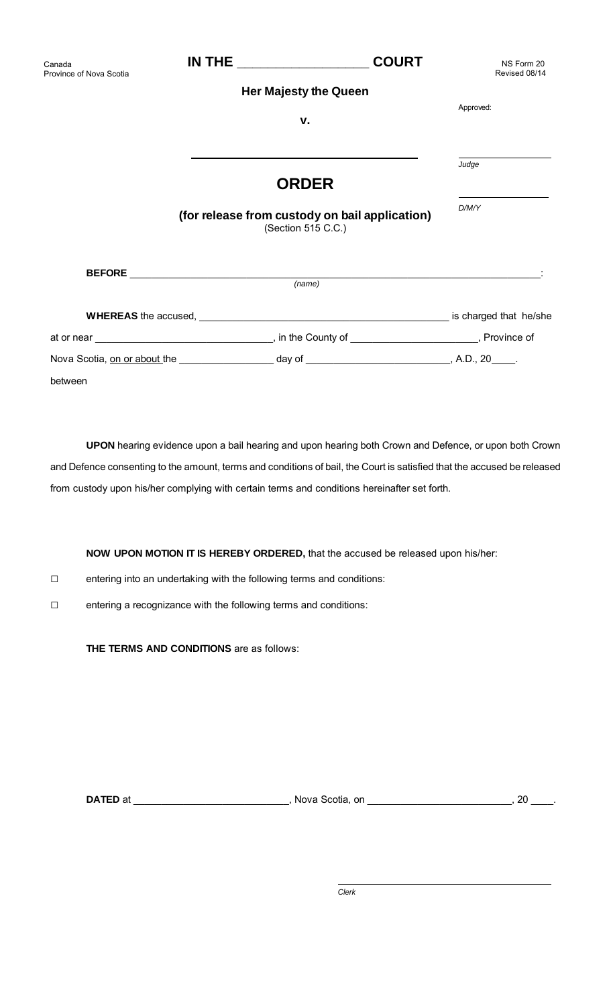| Canada<br>Province of Nova Scotia |                                                         | <b>COURT</b>                                                         | NS Form 20<br>Revised 08/14 |
|-----------------------------------|---------------------------------------------------------|----------------------------------------------------------------------|-----------------------------|
|                                   |                                                         | <b>Her Majesty the Queen</b>                                         |                             |
|                                   |                                                         | v.                                                                   | Approved:                   |
|                                   |                                                         | <b>ORDER</b>                                                         | Judge                       |
|                                   |                                                         | (for release from custody on bail application)<br>(Section 515 C.C.) | D/M/Y                       |
|                                   |                                                         | (name)                                                               |                             |
|                                   | <b>WHEREAS</b> the accused, <b>WHEREAS</b> the accused, |                                                                      | is charged that he/she      |
|                                   |                                                         |                                                                      |                             |

| Nova Scotia, on or about the | day of | A.D., 20 |
|------------------------------|--------|----------|
| between                      |        |          |

**UPON** hearing evidence upon a bail hearing and upon hearing both Crown and Defence, or upon both Crown and Defence consenting to the amount, terms and conditions of bail, the Court is satisfied that the accused be released from custody upon his/her complying with certain terms and conditions hereinafter set forth.

**NOW UPON MOTION IT IS HEREBY ORDERED,** that the accused be released upon his/her:

- □ entering into an undertaking with the following terms and conditions:
- □ entering a recognizance with the following terms and conditions:

**THE TERMS AND CONDITIONS** are as follows:

**DATED** at \_\_\_\_\_\_\_\_\_\_\_\_\_\_\_\_\_\_\_\_\_\_\_\_\_\_\_\_\_, Nova Scotia, on \_\_\_\_\_\_\_\_\_\_\_\_\_\_\_\_\_\_\_\_\_\_\_\_\_\_\_, 20 \_\_\_\_\_.